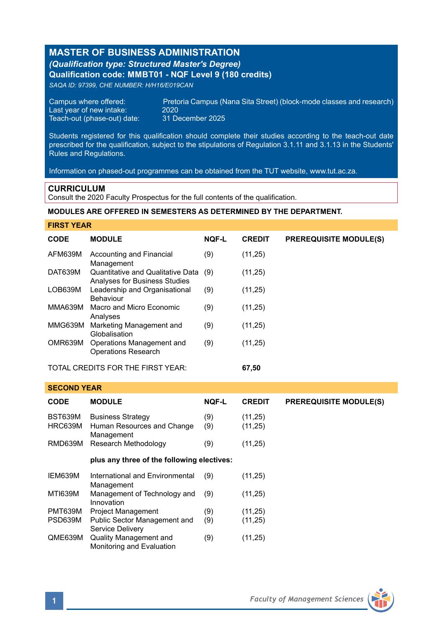# **MASTER OF BUSINESS ADMINISTRATION** *(Qualification type: Structured Master's Degree)* **Qualification code: MMBT01 - NQF Level 9 (180 credits)**

*SAQA ID: 97399, CHE NUMBER: H/H16/E019CAN*

Last year of new intake: 2020<br>Teach-out (phase-out) date: 31 December 2025 Teach-out (phase-out) date:

Campus where offered: Pretoria Campus (Nana Sita Street) (block-mode classes and research)<br>Last vear of new intake: 2020

Students registered for this qualification should complete their studies according to the teach-out date prescribed for the qualification, subject to the stipulations of Regulation 3.1.11 and 3.1.13 in the Students' Rules and Regulations.

Information on phased-out programmes can be obtained from the TUT website, www.tut.ac.za.

## **CURRICULUM**

**SECOND YEAR**

Consult the 2020 Faculty Prospectus for the full contents of the qualification.

### **MODULES ARE OFFERED IN SEMESTERS AS DETERMINED BY THE DEPARTMENT.**

| <b>FIRST YEAR</b>                          |                                                                    |              |               |                               |  |
|--------------------------------------------|--------------------------------------------------------------------|--------------|---------------|-------------------------------|--|
| <b>CODE</b>                                | <b>MODULE</b>                                                      | <b>NOF-L</b> | <b>CREDIT</b> | <b>PREREQUISITE MODULE(S)</b> |  |
| AFM639M                                    | Accounting and Financial<br>Management                             | (9)          | (11,25)       |                               |  |
| DAT639M                                    | Quantitative and Qualitative Data<br>Analyses for Business Studies | (9)          | (11,25)       |                               |  |
| LOB639M                                    | Leadership and Organisational<br>Behaviour                         | (9)          | (11,25)       |                               |  |
| MMA639M                                    | Macro and Micro Economic<br>Analyses                               | (9)          | (11,25)       |                               |  |
| MMG639M                                    | Marketing Management and<br>Globalisation                          | (9)          | (11,25)       |                               |  |
| OMR639M                                    | Operations Management and<br><b>Operations Research</b>            | (9)          | (11,25)       |                               |  |
| TOTAL CREDITS FOR THE FIRST YEAR:<br>67,50 |                                                                    |              |               |                               |  |

| <b>CODE</b>        | <b>MODULE</b>                                                        | <b>NOF-L</b> | <b>CREDIT</b>        | <b>PREREQUISITE MODULE(S)</b> |
|--------------------|----------------------------------------------------------------------|--------------|----------------------|-------------------------------|
| BST639M<br>HRC639M | <b>Business Strategy</b><br>Human Resources and Change<br>Management | (9)<br>(9)   | (11, 25)<br>(11, 25) |                               |
| RMD639M            | Research Methodology                                                 | (9)          | (11, 25)             |                               |
|                    | plus any three of the following electives:                           |              |                      |                               |
| IEM639M            | International and Environmental<br>Management                        | (9)          | (11, 25)             |                               |
| <b>MTI639M</b>     | Management of Technology and<br>Innovation                           | (9)          | (11, 25)             |                               |
| PMT639M            | <b>Project Management</b>                                            | (9)          | (11, 25)             |                               |
| PSD639M            | Public Sector Management and<br>Service Delivery                     | (9)          | (11, 25)             |                               |
| QME639M            | <b>Quality Management and</b><br>Monitoring and Evaluation           | (9)          | (11, 25)             |                               |

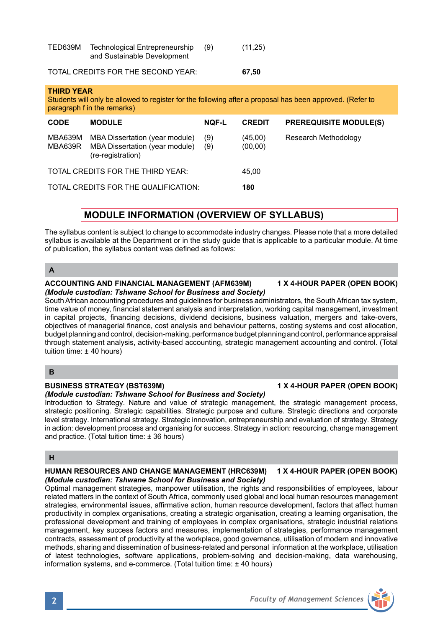| TED639M | Technological Entrepreneurship<br>and Sustainable Development | (11,25) |
|---------|---------------------------------------------------------------|---------|
|         |                                                               |         |

# TOTAL CREDITS FOR THE SECOND YEAR: **67,50**

**THIRD YEAR** Students will only be allowed to register for the following after a proposal has been approved. (Refer to paragraph f in the remarks)

| <b>CODE</b>                          | <b>MODULE</b>                                                                         | <b>NOF-L</b> | <b>CREDIT</b>       | <b>PREREQUISITE MODULE(S)</b> |
|--------------------------------------|---------------------------------------------------------------------------------------|--------------|---------------------|-------------------------------|
| MBA639M<br>MBA639R                   | MBA Dissertation (year module)<br>MBA Dissertation (year module)<br>(re-registration) | (9)<br>(9)   | (45,00)<br>(00, 00) | Research Methodology          |
| TOTAL CREDITS FOR THE THIRD YEAR:    |                                                                                       |              | 45.00               |                               |
| TOTAL CREDITS FOR THE QUALIFICATION: |                                                                                       |              | 180                 |                               |

# **MODULE INFORMATION (OVERVIEW OF SYLLABUS)**

The syllabus content is subject to change to accommodate industry changes. Please note that a more detailed syllabus is available at the Department or in the study guide that is applicable to a particular module. At time of publication, the syllabus content was defined as follows:

**A**

### **ACCOUNTING AND FINANCIAL MANAGEMENT (AFM639M) 1 X 4-HOUR PAPER (OPEN BOOK)** *(Module custodian: Tshwane School for Business and Society)*

South African accounting procedures and guidelines for business administrators, the South African tax system, time value of money, financial statement analysis and interpretation, working capital management, investment in capital projects, financing decisions, dividend decisions, business valuation, mergers and take-overs, objectives of managerial finance, cost analysis and behaviour patterns, costing systems and cost allocation, budget planning and control, decision-making, performance budget planning and control, performance appraisal through statement analysis, activity-based accounting, strategic management accounting and control. (Total tuition time: ± 40 hours)

# **B**

## **BUSINESS STRATEGY (BST639M) 1 X 4-HOUR PAPER (OPEN BOOK)**

# *(Module custodian: Tshwane School for Business and Society)*

Introduction to Strategy. Nature and value of strategic management, the strategic management process, strategic positioning. Strategic capabilities. Strategic purpose and culture. Strategic directions and corporate level strategy. International strategy. Strategic innovation, entrepreneurship and evaluation of strategy. Strategy in action: development process and organising for success. Strategy in action: resourcing, change management and practice. (Total tuition time: ± 36 hours)

# **H**

### **HUMAN RESOURCES AND CHANGE MANAGEMENT (HRC639M) 1 X 4-HOUR PAPER (OPEN BOOK)** *(Module custodian: Tshwane School for Business and Society)*

Optimal management strategies, manpower utilisation, the rights and responsibilities of employees, labour related matters in the context of South Africa, commonly used global and local human resources management strategies, environmental issues, affirmative action, human resource development, factors that affect human productivity in complex organisations, creating a strategic organisation, creating a learning organisation, the professional development and training of employees in complex organisations, strategic industrial relations management, key success factors and measures, implementation of strategies, performance management contracts, assessment of productivity at the workplace, good governance, utilisation of modern and innovative methods, sharing and dissemination of business-related and personal information at the workplace, utilisation of latest technologies, software applications, problem-solving and decision-making, data warehousing, information systems, and e-commerce. (Total tuition time: ± 40 hours)

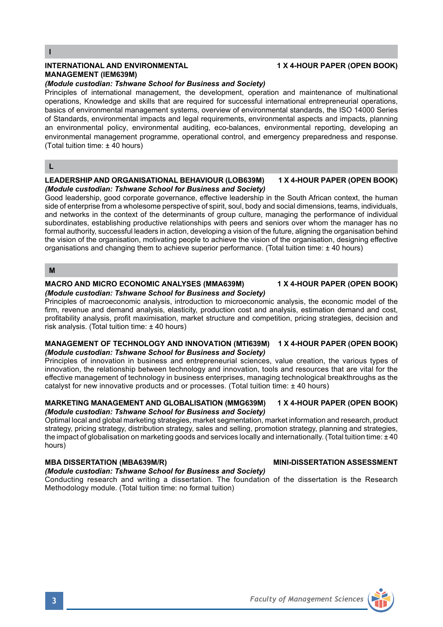### **INTERNATIONAL AND ENVIRONMENTAL 1 X 4-HOUR PAPER (OPEN BOOK) MANAGEMENT (IEM639M)**

### *(Module custodian: Tshwane School for Business and Society)*

Principles of international management, the development, operation and maintenance of multinational operations, Knowledge and skills that are required for successful international entrepreneurial operations, basics of environmental management systems, overview of environmental standards, the ISO 14000 Series of Standards, environmental impacts and legal requirements, environmental aspects and impacts, planning an environmental policy, environmental auditing, eco-balances, environmental reporting, developing an environmental management programme, operational control, and emergency preparedness and response. (Total tuition time: ± 40 hours)

### **L**

### **LEADERSHIP AND ORGANISATIONAL BEHAVIOUR (LOB639M) 1 X 4-HOUR PAPER (OPEN BOOK)** *(Module custodian: Tshwane School for Business and Society)*

Good leadership, good corporate governance, effective leadership in the South African context, the human side of enterprise from a wholesome perspective of spirit, soul, body and social dimensions, teams, individuals, and networks in the context of the determinants of group culture, managing the performance of individual subordinates, establishing productive relationships with peers and seniors over whom the manager has no formal authority, successful leaders in action, developing a vision of the future, aligning the organisation behind the vision of the organisation, motivating people to achieve the vision of the organisation, designing effective organisations and changing them to achieve superior performance. (Total tuition time: ± 40 hours)

### **M**

### **MACRO AND MICRO ECONOMIC ANALYSES (MMA639M) 1 X 4-HOUR PAPER (OPEN BOOK)** *(Module custodian: Tshwane School for Business and Society)*

Principles of macroeconomic analysis, introduction to microeconomic analysis, the economic model of the firm, revenue and demand analysis, elasticity, production cost and analysis, estimation demand and cost, profitability analysis, profit maximisation, market structure and competition, pricing strategies, decision and risk analysis. (Total tuition time: ± 40 hours)

### **MANAGEMENT OF TECHNOLOGY AND INNOVATION (MTI639M) 1 X 4-HOUR PAPER (OPEN BOOK)** *(Module custodian: Tshwane School for Business and Society)*

Principles of innovation in business and entrepreneurial sciences, value creation, the various types of innovation, the relationship between technology and innovation, tools and resources that are vital for the effective management of technology in business enterprises, managing technological breakthroughs as the catalyst for new innovative products and or processes. (Total tuition time: ± 40 hours)

### **MARKETING MANAGEMENT AND GLOBALISATION (MMG639M) 1 X 4-HOUR PAPER (OPEN BOOK)** *(Module custodian: Tshwane School for Business and Society)*

Optimal local and global marketing strategies, market segmentation, market information and research, product strategy, pricing strategy, distribution strategy, sales and selling, promotion strategy, planning and strategies, the impact of globalisation on marketing goods and services locally and internationally. (Total tuition time: ± 40 hours)

## **MBA DISSERTATION (MBA639M/R) MINI-DISSERTATION ASSESSMENT**

## *(Module custodian: Tshwane School for Business and Society)*

Conducting research and writing a dissertation. The foundation of the dissertation is the Research Methodology module. (Total tuition time: no formal tuition)

# **3** *Faculty of Management Sciences*

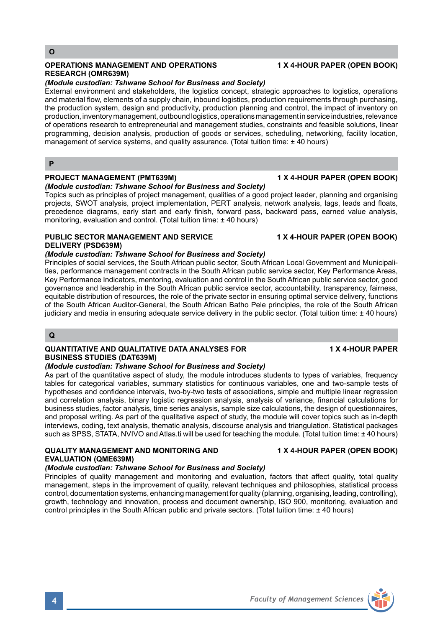### **OPERATIONS MANAGEMENT AND OPERATIONS 1 X 4-HOUR PAPER (OPEN BOOK) RESEARCH (OMR639M)**

# *(Module custodian: Tshwane School for Business and Society)*

External environment and stakeholders, the logistics concept, strategic approaches to logistics, operations and material flow, elements of a supply chain, inbound logistics, production requirements through purchasing, the production system, design and productivity, production planning and control, the impact of inventory on production, inventory management, outbound logistics, operations management in service industries, relevance of operations research to entrepreneurial and management studies, constraints and feasible solutions, linear programming, decision analysis, production of goods or services, scheduling, networking, facility location, management of service systems, and quality assurance. (Total tuition time: ± 40 hours)

**P**

## **PROJECT MANAGEMENT (PMT639M) 1 X 4-HOUR PAPER (OPEN BOOK)**

## *(Module custodian: Tshwane School for Business and Society)*

Topics such as principles of project management, qualities of a good project leader, planning and organising projects, SWOT analysis, project implementation, PERT analysis, network analysis, lags, leads and floats, precedence diagrams, early start and early finish, forward pass, backward pass, earned value analysis, monitoring, evaluation and control. (Total tuition time: ± 40 hours)

## **PUBLIC SECTOR MANAGEMENT AND SERVICE 4 MILE 1 X 4-HOUR PAPER (OPEN BOOK) DELIVERY (PSD639M)**

## *(Module custodian: Tshwane School for Business and Society)*

Principles of social services, the South African public sector, South African Local Government and Municipalities, performance management contracts in the South African public service sector, Key Performance Areas, Key Performance Indicators, mentoring, evaluation and control in the South African public service sector, good governance and leadership in the South African public service sector, accountability, transparency, fairness, equitable distribution of resources, the role of the private sector in ensuring optimal service delivery, functions of the South African Auditor-General, the South African Batho Pele principles, the role of the South African judiciary and media in ensuring adequate service delivery in the public sector. (Total tuition time: ± 40 hours)

### **Q**

### **QUANTITATIVE AND QUALITATIVE DATA ANALYSES FOR 1 X 4-HOUR PAPER BUSINESS STUDIES (DAT639M)**

### *(Module custodian: Tshwane School for Business and Society)*

As part of the quantitative aspect of study, the module introduces students to types of variables, frequency tables for categorical variables, summary statistics for continuous variables, one and two-sample tests of hypotheses and confidence intervals, two-by-two tests of associations, simple and multiple linear regression and correlation analysis, binary logistic regression analysis, analysis of variance, financial calculations for business studies, factor analysis, time series analysis, sample size calculations, the design of questionnaires, and proposal writing. As part of the qualitative aspect of study, the module will cover topics such as in-depth interviews, coding, text analysis, thematic analysis, discourse analysis and triangulation. Statistical packages such as SPSS, STATA, NVIVO and Atlas.ti will be used for teaching the module. (Total tuition time: ± 40 hours)

# **QUALITY MANAGEMENT AND MONITORING AND 1 X 4-HOUR PAPER (OPEN BOOK) EVALUATION (QME639M)**

## *(Module custodian: Tshwane School for Business and Society)*

Principles of quality management and monitoring and evaluation, factors that affect quality, total quality management, steps in the improvement of quality, relevant techniques and philosophies, statistical process control, documentation systems, enhancing management for quality (planning, organising, leading, controlling), growth, technology and innovation, process and document ownership, ISO 900, monitoring, evaluation and control principles in the South African public and private sectors. (Total tuition time: ± 40 hours)